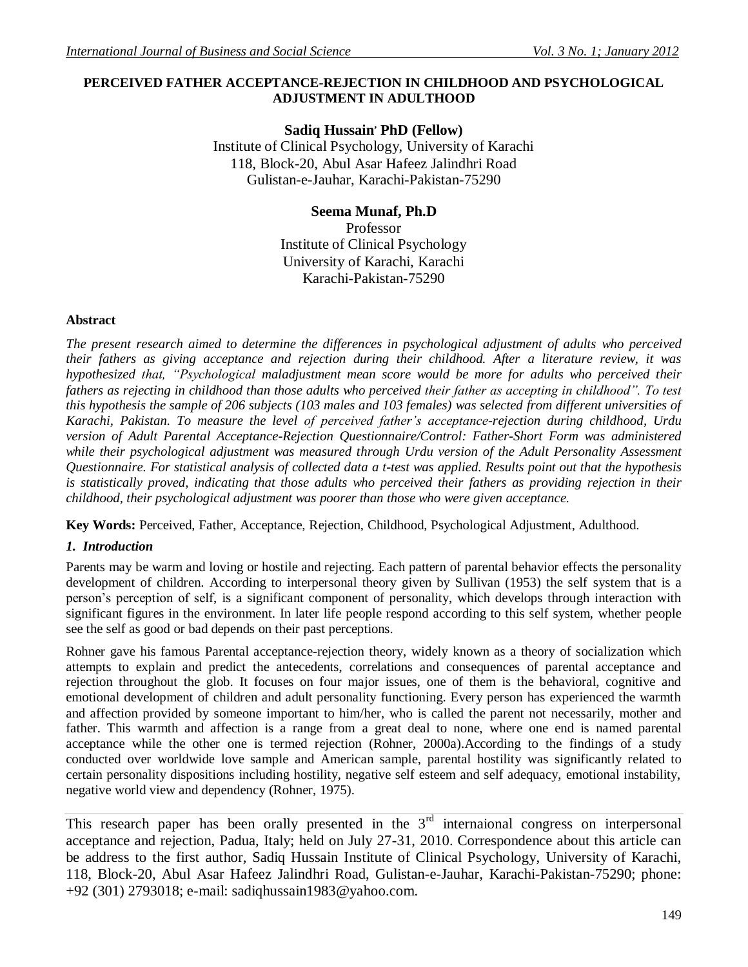# **PERCEIVED FATHER ACCEPTANCE-REJECTION IN CHILDHOOD AND PSYCHOLOGICAL ADJUSTMENT IN ADULTHOOD**

# **Sadiq Hussain, PhD (Fellow)**

Institute of Clinical Psychology, University of Karachi 118, Block-20, Abul Asar Hafeez Jalindhri Road Gulistan-e-Jauhar, Karachi-Pakistan-75290

# **Seema Munaf, Ph.D**

Professor Institute of Clinical Psychology University of Karachi, Karachi Karachi-Pakistan-75290

# **Abstract**

*The present research aimed to determine the differences in psychological adjustment of adults who perceived their fathers as giving acceptance and rejection during their childhood. After a literature review, it was hypothesized that, "Psychological maladjustment mean score would be more for adults who perceived their fathers as rejecting in childhood than those adults who perceived their father as accepting in childhood". To test this hypothesis the sample of 206 subjects (103 males and 103 females) was selected from different universities of Karachi, Pakistan. To measure the level of perceived father's acceptance-rejection during childhood, Urdu version of Adult Parental Acceptance-Rejection Questionnaire/Control: Father-Short Form was administered while their psychological adjustment was measured through Urdu version of the Adult Personality Assessment Questionnaire. For statistical analysis of collected data a t-test was applied. Results point out that the hypothesis is statistically proved, indicating that those adults who perceived their fathers as providing rejection in their childhood, their psychological adjustment was poorer than those who were given acceptance.*

**Key Words:** Perceived, Father, Acceptance, Rejection, Childhood, Psychological Adjustment, Adulthood.

# *1. Introduction*

Parents may be warm and loving or hostile and rejecting. Each pattern of parental behavior effects the personality development of children. According to interpersonal theory given by Sullivan (1953) the self system that is a person's perception of self, is a significant component of personality, which develops through interaction with significant figures in the environment. In later life people respond according to this self system, whether people see the self as good or bad depends on their past perceptions.

Rohner gave his famous Parental acceptance-rejection theory, widely known as a theory of socialization which attempts to explain and predict the antecedents, correlations and consequences of parental acceptance and rejection throughout the glob. It focuses on four major issues, one of them is the behavioral, cognitive and emotional development of children and adult personality functioning. Every person has experienced the warmth and affection provided by someone important to him/her, who is called the parent not necessarily, mother and father. This warmth and affection is a range from a great deal to none, where one end is named parental acceptance while the other one is termed rejection (Rohner, 2000a).According to the findings of a study conducted over worldwide love sample and American sample, parental hostility was significantly related to certain personality dispositions including hostility, negative self esteem and self adequacy, emotional instability, negative world view and dependency (Rohner, 1975).

This research paper has been orally presented in the  $3<sup>rd</sup>$  internaional congress on interpersonal acceptance and rejection, Padua, Italy; held on July 27-31, 2010. Correspondence about this article can be address to the first author, Sadiq Hussain Institute of Clinical Psychology, University of Karachi, 118, Block-20, Abul Asar Hafeez Jalindhri Road, Gulistan-e-Jauhar, Karachi-Pakistan-75290; phone: +92 (301) 2793018; e-mail: sadiqhussain1983@yahoo.com.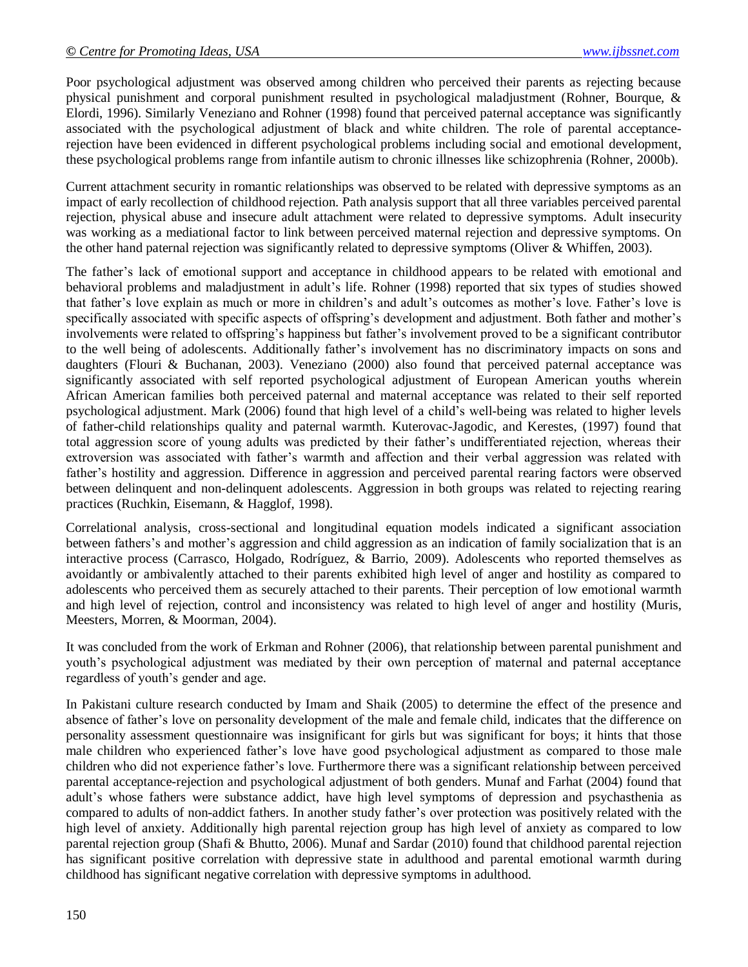Poor psychological adjustment was observed among children who perceived their parents as rejecting because physical punishment and corporal punishment resulted in psychological maladjustment (Rohner, Bourque, & Elordi, 1996). Similarly Veneziano and Rohner (1998) found that perceived paternal acceptance was significantly associated with the psychological adjustment of black and white children. The role of parental acceptancerejection have been evidenced in different psychological problems including social and emotional development, these psychological problems range from infantile autism to chronic illnesses like schizophrenia (Rohner, 2000b).

Current attachment security in romantic relationships was observed to be related with depressive symptoms as an impact of early recollection of childhood rejection. Path analysis support that all three variables perceived parental rejection, physical abuse and insecure adult attachment were related to depressive symptoms. Adult insecurity was working as a mediational factor to link between perceived maternal rejection and depressive symptoms. On the other hand paternal rejection was significantly related to depressive symptoms (Oliver & Whiffen, 2003).

The father's lack of emotional support and acceptance in childhood appears to be related with emotional and behavioral problems and maladjustment in adult's life. Rohner (1998) reported that six types of studies showed that father's love explain as much or more in children's and adult's outcomes as mother's love. Father's love is specifically associated with specific aspects of offspring's development and adjustment. Both father and mother's involvements were related to offspring's happiness but father's involvement proved to be a significant contributor to the well being of adolescents. Additionally father's involvement has no discriminatory impacts on sons and daughters (Flouri & Buchanan, 2003). Veneziano (2000) also found that perceived paternal acceptance was significantly associated with self reported psychological adjustment of European American youths wherein African American families both perceived paternal and maternal acceptance was related to their self reported psychological adjustment. Mark (2006) found that high level of a child's well-being was related to higher levels of father-child relationships quality and paternal warmth. Kuterovac-Jagodic, and Kerestes, (1997) found that total aggression score of young adults was predicted by their father's undifferentiated rejection, whereas their extroversion was associated with father's warmth and affection and their verbal aggression was related with father's hostility and aggression. Difference in aggression and perceived parental rearing factors were observed between delinquent and non-delinquent adolescents. Aggression in both groups was related to rejecting rearing practices (Ruchkin, Eisemann, & Hagglof, 1998).

Correlational analysis, cross-sectional and longitudinal equation models indicated a significant association between fathers's and mother's aggression and child aggression as an indication of family socialization that is an interactive process (Carrasco, Holgado, Rodríguez, & Barrio, 2009). Adolescents who reported themselves as avoidantly or ambivalently attached to their parents exhibited high level of anger and hostility as compared to adolescents who perceived them as securely attached to their parents. Their perception of low emotional warmth and high level of rejection, control and inconsistency was related to high level of anger and hostility (Muris, Meesters, Morren, & Moorman, 2004).

It was concluded from the work of Erkman and Rohner (2006), that relationship between parental punishment and youth's psychological adjustment was mediated by their own perception of maternal and paternal acceptance regardless of youth's gender and age.

In Pakistani culture research conducted by Imam and Shaik (2005) to determine the effect of the presence and absence of father's love on personality development of the male and female child, indicates that the difference on personality assessment questionnaire was insignificant for girls but was significant for boys; it hints that those male children who experienced father's love have good psychological adjustment as compared to those male children who did not experience father's love. Furthermore there was a significant relationship between perceived parental acceptance-rejection and psychological adjustment of both genders. Munaf and Farhat (2004) found that adult's whose fathers were substance addict, have high level symptoms of depression and psychasthenia as compared to adults of non-addict fathers. In another study father's over protection was positively related with the high level of anxiety. Additionally high parental rejection group has high level of anxiety as compared to low parental rejection group (Shafi & Bhutto, 2006). Munaf and Sardar (2010) found that childhood parental rejection has significant positive correlation with depressive state in adulthood and parental emotional warmth during childhood has significant negative correlation with depressive symptoms in adulthood.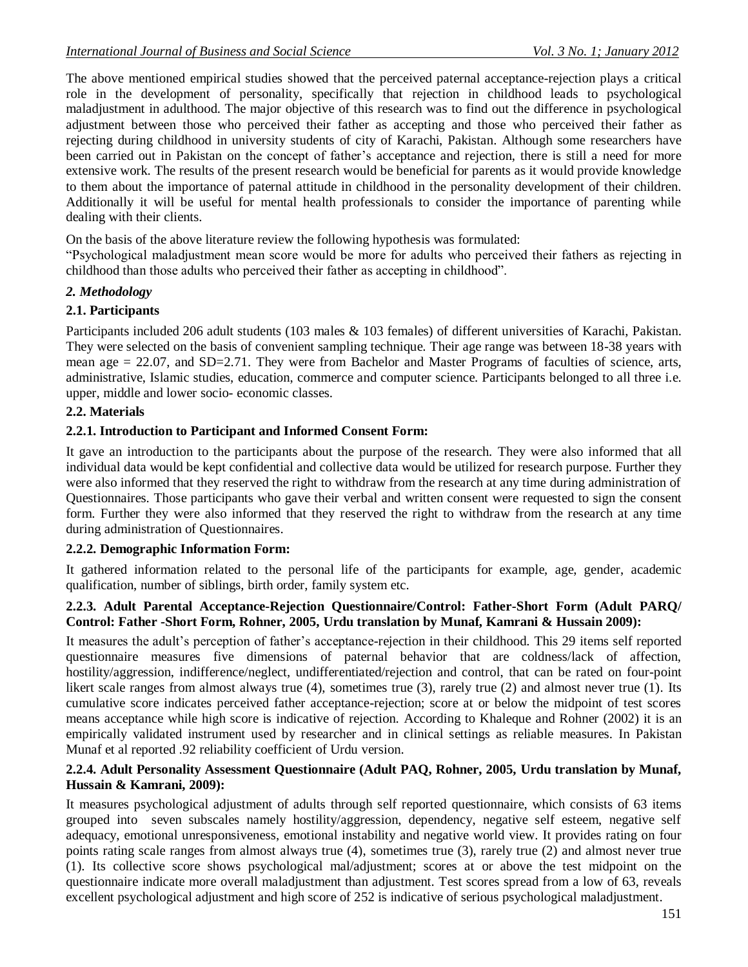The above mentioned empirical studies showed that the perceived paternal acceptance-rejection plays a critical role in the development of personality, specifically that rejection in childhood leads to psychological maladjustment in adulthood. The major objective of this research was to find out the difference in psychological adjustment between those who perceived their father as accepting and those who perceived their father as rejecting during childhood in university students of city of Karachi, Pakistan. Although some researchers have been carried out in Pakistan on the concept of father's acceptance and rejection, there is still a need for more extensive work. The results of the present research would be beneficial for parents as it would provide knowledge to them about the importance of paternal attitude in childhood in the personality development of their children. Additionally it will be useful for mental health professionals to consider the importance of parenting while dealing with their clients.

On the basis of the above literature review the following hypothesis was formulated:

"Psychological maladjustment mean score would be more for adults who perceived their fathers as rejecting in childhood than those adults who perceived their father as accepting in childhood".

# *2. Methodology*

# **2.1. Participants**

Participants included 206 adult students (103 males & 103 females) of different universities of Karachi, Pakistan. They were selected on the basis of convenient sampling technique. Their age range was between 18-38 years with mean age = 22.07, and SD=2.71. They were from Bachelor and Master Programs of faculties of science, arts, administrative, Islamic studies, education, commerce and computer science. Participants belonged to all three i.e. upper, middle and lower socio- economic classes.

# **2.2. Materials**

# **2.2.1. Introduction to Participant and Informed Consent Form:**

It gave an introduction to the participants about the purpose of the research. They were also informed that all individual data would be kept confidential and collective data would be utilized for research purpose. Further they were also informed that they reserved the right to withdraw from the research at any time during administration of Questionnaires. Those participants who gave their verbal and written consent were requested to sign the consent form. Further they were also informed that they reserved the right to withdraw from the research at any time during administration of Questionnaires.

#### **2.2.2. Demographic Information Form:**

It gathered information related to the personal life of the participants for example, age, gender, academic qualification, number of siblings, birth order, family system etc.

# **2.2.3. Adult Parental Acceptance-Rejection Questionnaire/Control: Father-Short Form (Adult PARQ/ Control: Father -Short Form, Rohner, 2005, Urdu translation by Munaf, Kamrani & Hussain 2009):**

It measures the adult's perception of father's acceptance-rejection in their childhood. This 29 items self reported questionnaire measures five dimensions of paternal behavior that are coldness/lack of affection, hostility/aggression, indifference/neglect, undifferentiated/rejection and control, that can be rated on four-point likert scale ranges from almost always true (4), sometimes true (3), rarely true (2) and almost never true (1). Its cumulative score indicates perceived father acceptance-rejection; score at or below the midpoint of test scores means acceptance while high score is indicative of rejection. According to Khaleque and Rohner (2002) it is an empirically validated instrument used by researcher and in clinical settings as reliable measures. In Pakistan Munaf et al reported .92 reliability coefficient of Urdu version.

#### **2.2.4. Adult Personality Assessment Questionnaire (Adult PAQ, Rohner, 2005, Urdu translation by Munaf, Hussain & Kamrani, 2009):**

It measures psychological adjustment of adults through self reported questionnaire, which consists of 63 items grouped into seven subscales namely hostility/aggression, dependency, negative self esteem, negative self adequacy, emotional unresponsiveness, emotional instability and negative world view. It provides rating on four points rating scale ranges from almost always true (4), sometimes true (3), rarely true (2) and almost never true (1). Its collective score shows psychological mal/adjustment; scores at or above the test midpoint on the questionnaire indicate more overall maladjustment than adjustment. Test scores spread from a low of 63, reveals excellent psychological adjustment and high score of 252 is indicative of serious psychological maladjustment.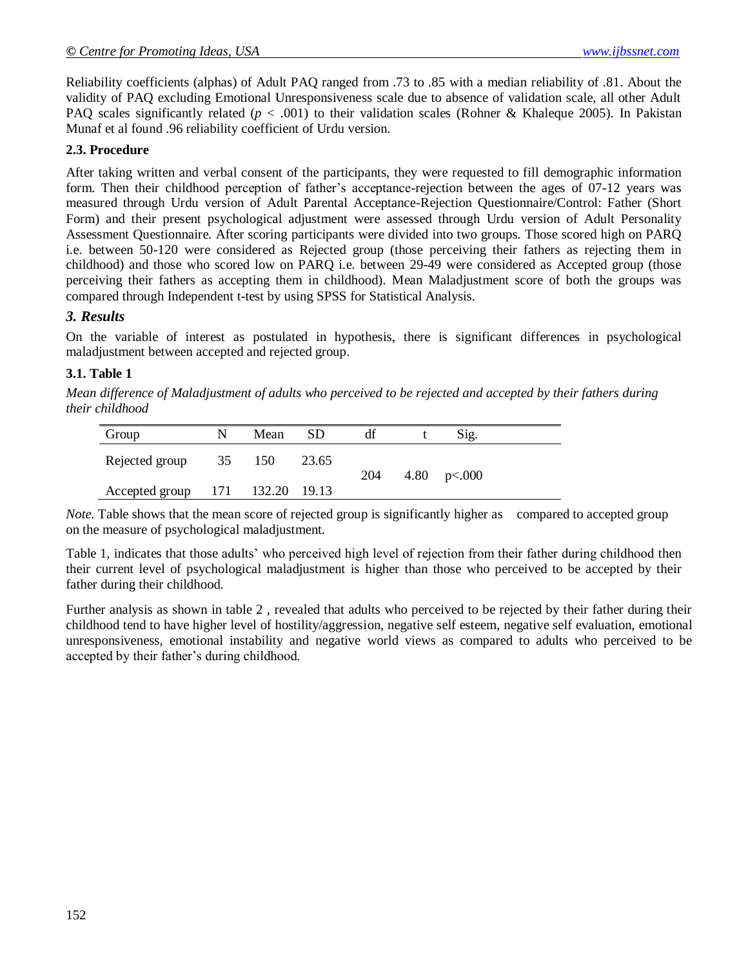Reliability coefficients (alphas) of Adult PAQ ranged from .73 to .85 with a median reliability of .81. About the validity of PAQ excluding Emotional Unresponsiveness scale due to absence of validation scale, all other Adult PAQ scales significantly related (*p* < .001) to their validation scales (Rohner & Khaleque 2005). In Pakistan Munaf et al found .96 reliability coefficient of Urdu version.

# **2.3. Procedure**

After taking written and verbal consent of the participants, they were requested to fill demographic information form. Then their childhood perception of father's acceptance-rejection between the ages of 07-12 years was measured through Urdu version of Adult Parental Acceptance-Rejection Questionnaire/Control: Father (Short Form) and their present psychological adjustment were assessed through Urdu version of Adult Personality Assessment Questionnaire. After scoring participants were divided into two groups. Those scored high on PARQ i.e. between 50-120 were considered as Rejected group (those perceiving their fathers as rejecting them in childhood) and those who scored low on PARQ i.e. between 29-49 were considered as Accepted group (those perceiving their fathers as accepting them in childhood). Mean Maladjustment score of both the groups was compared through Independent t-test by using SPSS for Statistical Analysis.

# *3. Results*

On the variable of interest as postulated in hypothesis, there is significant differences in psychological maladjustment between accepted and rejected group.

# **3.1. Table 1**

*Mean difference of Maladjustment of adults who perceived to be rejected and accepted by their fathers during their childhood*

| Group              | N  | Mean   | SD    | df  | Sig.          |
|--------------------|----|--------|-------|-----|---------------|
| Rejected group     | 35 | 150    | 23.65 |     |               |
| Accepted group 171 |    | 132.20 | 19.13 | 204 | 4.80 $p<.000$ |

*Note.* Table shows that the mean score of rejected group is significantly higher as compared to accepted group on the measure of psychological maladjustment.

Table 1, indicates that those adults' who perceived high level of rejection from their father during childhood then their current level of psychological maladjustment is higher than those who perceived to be accepted by their father during their childhood.

Further analysis as shown in table 2 , revealed that adults who perceived to be rejected by their father during their childhood tend to have higher level of hostility/aggression, negative self esteem, negative self evaluation, emotional unresponsiveness, emotional instability and negative world views as compared to adults who perceived to be accepted by their father's during childhood.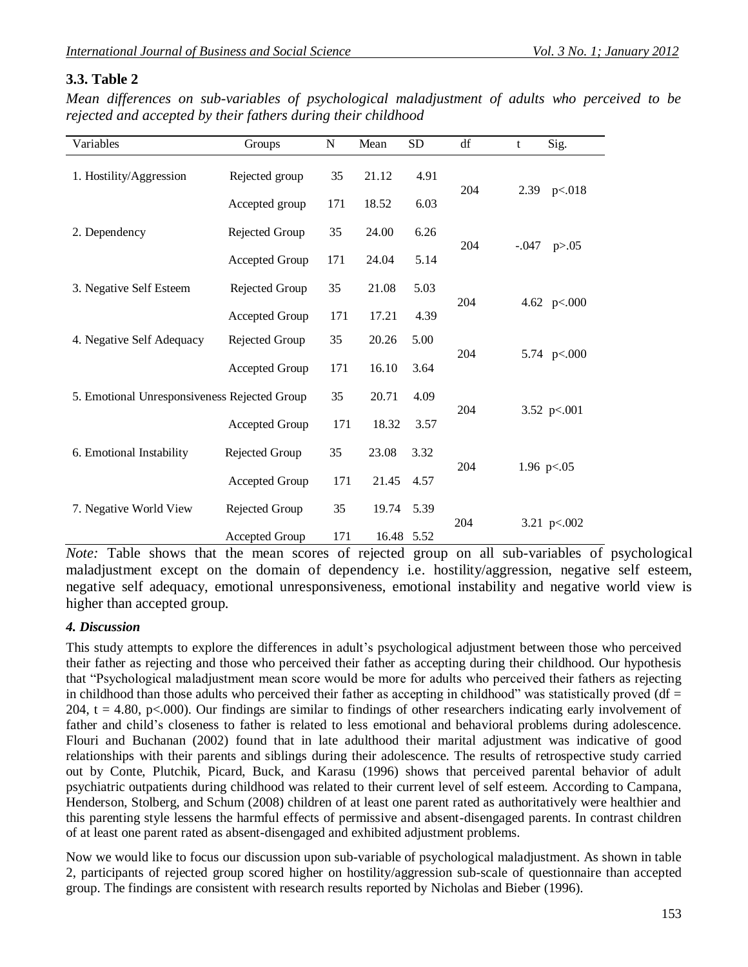# **3.3. Table 2**

*Mean differences on sub-variables of psychological maladjustment of adults who perceived to be rejected and accepted by their fathers during their childhood* 

| Variables                                    | Groups         | ${\bf N}$ | Mean       | <b>SD</b> | df  | t             | Sig.          |  |
|----------------------------------------------|----------------|-----------|------------|-----------|-----|---------------|---------------|--|
| 1. Hostility/Aggression                      | Rejected group | 35        | 21.12      | 4.91      | 204 |               |               |  |
|                                              | Accepted group | 171       | 18.52      | 6.03      |     | 2.39          | p<018         |  |
| 2. Dependency                                | Rejected Group | 35        | 24.00      | 6.26      |     |               | p > 0.05      |  |
|                                              | Accepted Group | 171       | 24.04      | 5.14      | 204 | $-.047$       |               |  |
| 3. Negative Self Esteem                      | Rejected Group | 35        | 21.08      | 5.03      |     | 4.62 $p<.000$ |               |  |
|                                              | Accepted Group | 171       | 17.21      | 4.39      | 204 |               |               |  |
| 4. Negative Self Adequacy                    | Rejected Group | 35        | 20.26      | 5.00      |     | 5.74 p<.000   |               |  |
|                                              | Accepted Group | 171       | 16.10      | 3.64      | 204 |               |               |  |
| 5. Emotional Unresponsiveness Rejected Group |                | 35        | 20.71      | 4.09      |     |               |               |  |
|                                              | Accepted Group | 171       | 18.32      | 3.57      | 204 | 3.52 $p<.001$ |               |  |
| 6. Emotional Instability                     | Rejected Group | 35        | 23.08      | 3.32      | 204 |               |               |  |
|                                              | Accepted Group | 171       | 21.45      | 4.57      |     |               | 1.96 $p<.05$  |  |
| 7. Negative World View                       | Rejected Group | 35        | 19.74      | 5.39      | 204 |               |               |  |
|                                              | Accepted Group | 171       | 16.48 5.52 |           |     |               | 3.21 $p<.002$ |  |

*Note:* Table shows that the mean scores of rejected group on all sub-variables of psychological maladjustment except on the domain of dependency i.e. hostility/aggression, negative self esteem, negative self adequacy, emotional unresponsiveness, emotional instability and negative world view is higher than accepted group.

# *4. Discussion*

This study attempts to explore the differences in adult's psychological adjustment between those who perceived their father as rejecting and those who perceived their father as accepting during their childhood. Our hypothesis that "Psychological maladjustment mean score would be more for adults who perceived their fathers as rejecting in childhood than those adults who perceived their father as accepting in childhood" was statistically proved  $(df =$ 204,  $t = 4.80$ , p<.000). Our findings are similar to findings of other researchers indicating early involvement of father and child's closeness to father is related to less emotional and behavioral problems during adolescence. Flouri and Buchanan (2002) found that in late adulthood their marital adjustment was indicative of good relationships with their parents and siblings during their adolescence. The results of retrospective study carried out by Conte, Plutchik, Picard, Buck, and Karasu (1996) shows that perceived parental behavior of adult psychiatric outpatients during childhood was related to their current level of self esteem. According to Campana, Henderson, Stolberg, and Schum (2008) children of at least one parent rated as authoritatively were healthier and this parenting style lessens the harmful effects of permissive and absent-disengaged parents. In contrast children of at least one parent rated as absent-disengaged and exhibited adjustment problems.

Now we would like to focus our discussion upon sub-variable of psychological maladjustment. As shown in table 2, participants of rejected group scored higher on hostility/aggression sub-scale of questionnaire than accepted group. The findings are consistent with research results reported by Nicholas and Bieber (1996).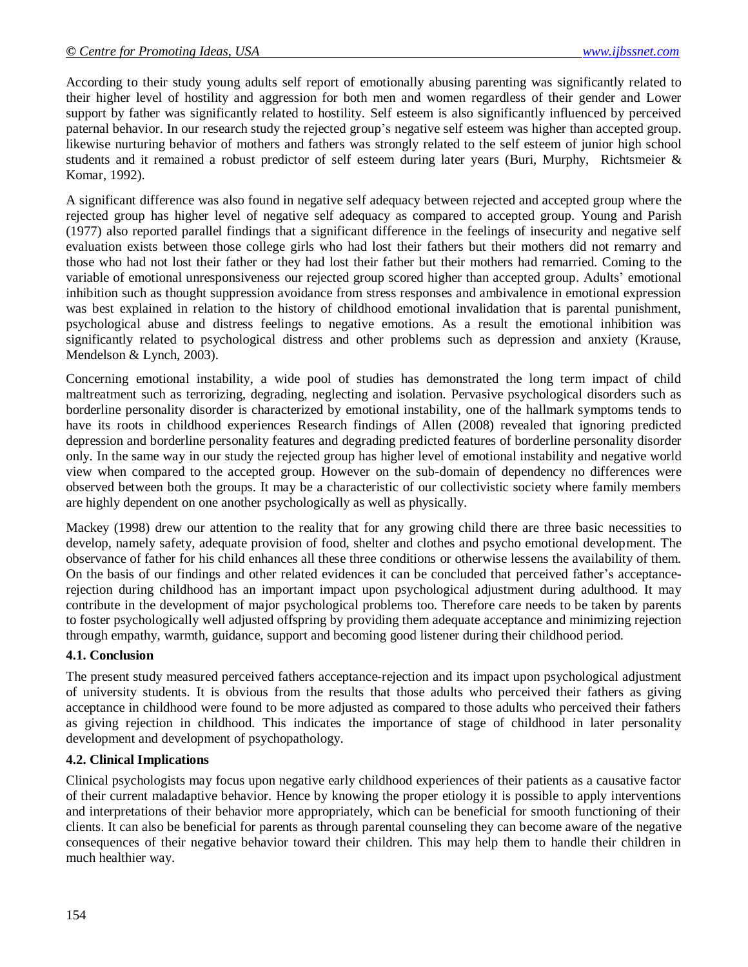According to their study young adults self report of emotionally abusing parenting was significantly related to their higher level of hostility and aggression for both men and women regardless of their gender and Lower support by father was significantly related to hostility. Self esteem is also significantly influenced by perceived paternal behavior. In our research study the rejected group's negative self esteem was higher than accepted group. likewise nurturing behavior of mothers and fathers was strongly related to the self esteem of junior high school students and it remained a robust predictor of self esteem during later years [\(Buri, Murphy,](http://www.ncbi.nlm.nih.gov/pubmed?term=%22Buri%20JR%22%5BAuthor%5D) [Richtsmeier](http://www.ncbi.nlm.nih.gov/pubmed?term=%22Richtsmeier%20LM%22%5BAuthor%5D) & [Komar,](http://www.ncbi.nlm.nih.gov/pubmed?term=%22Komar%20KK%22%5BAuthor%5D) 1992).

A significant difference was also found in negative self adequacy between rejected and accepted group where the rejected group has higher level of negative self adequacy as compared to accepted group. Young and Parish (1977) also reported parallel findings that a significant difference in the feelings of insecurity and negative self evaluation exists between those college girls who had lost their fathers but their mothers did not remarry and those who had not lost their father or they had lost their father but their mothers had remarried. Coming to the variable of emotional unresponsiveness our rejected group scored higher than accepted group. Adults' emotional inhibition such as thought suppression avoidance from stress responses and ambivalence in emotional expression was best explained in relation to the history of childhood emotional invalidation that is parental punishment, psychological abuse and distress feelings to negative emotions. As a result the emotional inhibition was significantly related to psychological distress and other problems such as depression and anxiety (Krause, Mendelson & Lynch, 2003).

Concerning emotional instability, a wide pool of studies has demonstrated the long term impact of child maltreatment such as terrorizing, degrading, neglecting and isolation. Pervasive psychological disorders such as borderline personality disorder is characterized by emotional instability, one of the hallmark symptoms tends to have its roots in childhood experiences Research findings of Allen (2008) revealed that ignoring predicted depression and borderline personality features and degrading predicted features of borderline personality disorder only. In the same way in our study the rejected group has higher level of emotional instability and negative world view when compared to the accepted group. However on the sub-domain of dependency no differences were observed between both the groups. It may be a characteristic of our collectivistic society where family members are highly dependent on one another psychologically as well as physically.

Mackey (1998) drew our attention to the reality that for any growing child there are three basic necessities to develop, namely safety, adequate provision of food, shelter and clothes and psycho emotional development. The observance of father for his child enhances all these three conditions or otherwise lessens the availability of them. On the basis of our findings and other related evidences it can be concluded that perceived father's acceptancerejection during childhood has an important impact upon psychological adjustment during adulthood. It may contribute in the development of major psychological problems too. Therefore care needs to be taken by parents to foster psychologically well adjusted offspring by providing them adequate acceptance and minimizing rejection through empathy, warmth, guidance, support and becoming good listener during their childhood period.

# **4.1. Conclusion**

The present study measured perceived fathers acceptance-rejection and its impact upon psychological adjustment of university students. It is obvious from the results that those adults who perceived their fathers as giving acceptance in childhood were found to be more adjusted as compared to those adults who perceived their fathers as giving rejection in childhood. This indicates the importance of stage of childhood in later personality development and development of psychopathology.

# **4.2. Clinical Implications**

Clinical psychologists may focus upon negative early childhood experiences of their patients as a causative factor of their current maladaptive behavior. Hence by knowing the proper etiology it is possible to apply interventions and interpretations of their behavior more appropriately, which can be beneficial for smooth functioning of their clients. It can also be beneficial for parents as through parental counseling they can become aware of the negative consequences of their negative behavior toward their children. This may help them to handle their children in much healthier way.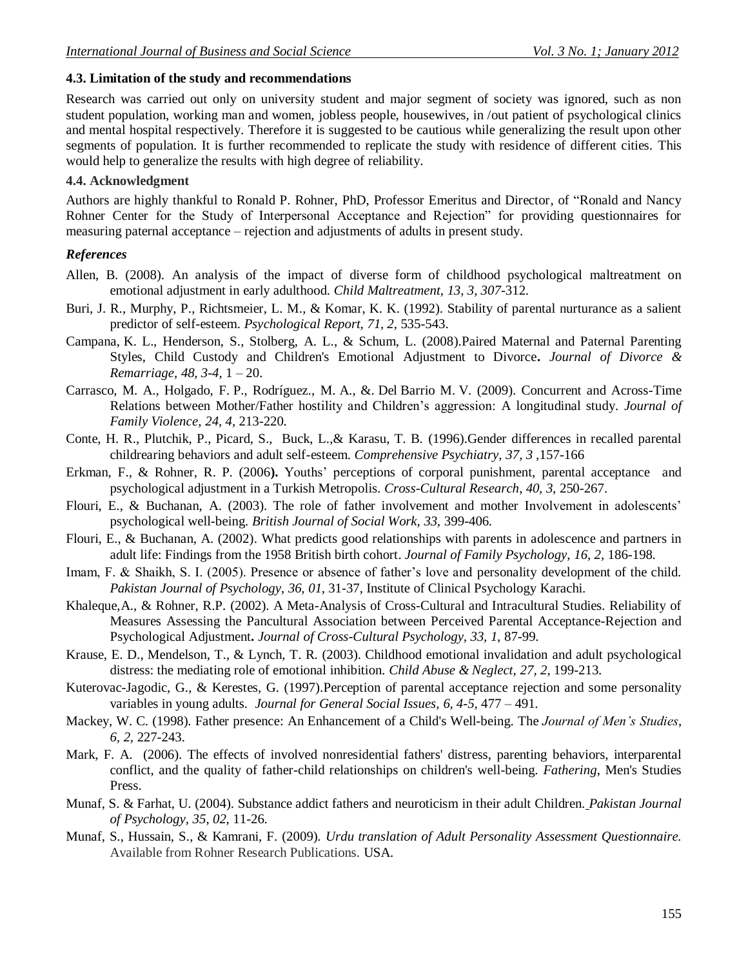#### **4.3. Limitation of the study and recommendations**

Research was carried out only on university student and major segment of society was ignored, such as non student population, working man and women, jobless people, housewives, in /out patient of psychological clinics and mental hospital respectively. Therefore it is suggested to be cautious while generalizing the result upon other segments of population. It is further recommended to replicate the study with residence of different cities. This would help to generalize the results with high degree of reliability.

#### **4.4. Acknowledgment**

Authors are highly thankful to Ronald P. Rohner, PhD, Professor Emeritus and Director, of "Ronald and Nancy Rohner Center for the Study of Interpersonal Acceptance and Rejection" for providing questionnaires for measuring paternal acceptance – rejection and adjustments of adults in present study.

#### *References*

- Allen, B. (2008). An analysis of the impact of diverse form of childhood psychological maltreatment on emotional adjustment in early adulthood. *Child Maltreatment*, *13, 3, 307*-312.
- [Buri, J. R.](http://www.ncbi.nlm.nih.gov/pubmed?term=%22Buri%20JR%22%5BAuthor%5D), [Murphy, P.](http://www.ncbi.nlm.nih.gov/pubmed?term=%22Murphy%20P%22%5BAuthor%5D), [Richtsmeier, L. M.](http://www.ncbi.nlm.nih.gov/pubmed?term=%22Richtsmeier%20LM%22%5BAuthor%5D), & [Komar, K. K.](http://www.ncbi.nlm.nih.gov/pubmed?term=%22Komar%20KK%22%5BAuthor%5D) (1992). Stability of parental nurturance as a salient predictor of self-esteem. *Psychological Report, 71, 2,* 535-543.
- Campana, K. L., Henderson, S., Stolberg, A. L., & Schum, L. (2008).Paired Maternal and Paternal Parenting Styles, Child Custody and Children's Emotional Adjustment to Divorce**.** *[Journal of Divorce &](http://www.informaworld.com/smpp/title~db=all~content=t792306891)  [Remarriage,](http://www.informaworld.com/smpp/title~db=all~content=t792306891) [48,](http://www.informaworld.com/smpp/title~db=all~content=t792306891~tab=issueslist~branches=48#v48) [3-4,](http://www.informaworld.com/smpp/title~db=all~content=g903695155)* 1 – 20.
- Carrasco, M. A., Holgado, F. P., Rodríguez., M. A., &. Del Barrio M. V. (2009). Concurrent and Across-Time Relations between Mother/Father hostility and Children's aggression: A longitudinal study. *[Journal of](http://www.springerlink.com/content/104903/?p=06dd8cd04ba14af9892a843dd64e5a78&pi=0)  [Family Violence](http://www.springerlink.com/content/104903/?p=06dd8cd04ba14af9892a843dd64e5a78&pi=0)*, *24, 4,* 213-220.
- Conte, H. R., Plutchik, P., Picard, S., Buck, L.,& Karasu, T. B. (1996).Gender differences in recalled parental childrearing behaviors and adult self-esteem. *[Comprehensive Psychiatry,](http://www.sciencedirect.com/science/journal/0010440X) [37, 3](http://www.sciencedirect.com/science?_ob=PublicationURL&_tockey=%23TOC%236748%231996%23999629996%23507325%23FLP%23&_cdi=6748&_pubType=J&view=c&_auth=y&_acct=C000050221&_version=1&_urlVersion=0&_userid=10&md5=9a5b1b4931aa52456c296ecf0b751c90)* ,157-166
- Erkman, F., & Rohner, R. P. (2006**).** Youths' perceptions of corporal punishment, parental acceptance and psychological adjustment in a Turkish Metropolis. *Cross-Cultural Research*, *40, 3,* 250-267.
- Flouri, E., & Buchanan, A. (2003). The role of father involvement and mother Involvement in adolescents' psychological well-being. *British Journal of Social Work*, *33,* 399-406.
- Flouri, E., & Buchanan, A. (2002). What predicts good relationships with parents in adolescence and partners in adult life: Findings from the 1958 British birth cohort. *Journal of Family Psychology*, *16, 2,* 186-198.
- Imam, F. & Shaikh, S. I. (2005). Presence or absence of father's love and personality development of the child. *Pakistan Journal of Psychology*, *36, 01*, 31-37, Institute of Clinical Psychology Karachi.
- Khaleque,A., & Rohner, R.P. (2002). A Meta-Analysis of Cross-Cultural and Intracultural Studies. Reliability of Measures Assessing the Pancultural Association between Perceived Parental Acceptance-Rejection and Psychological Adjustment**.** *Journal of Cross-Cultural Psychology, 33, 1*, 87-99.
- Krause, E. D., Mendelson, T., & Lynch, T. R. (2003). Childhood emotional invalidation and adult psychological distress: the mediating role of emotional inhibition. *[Child Abuse & Neglect,](http://www.sciencedirect.com/science/journal/01452134) [27, 2](http://www.sciencedirect.com/science?_ob=PublicationURL&_tockey=%23TOC%235847%232003%23999729997%23394430%23FLA%23&_cdi=5847&_pubType=J&view=c&_auth=y&_acct=C000050221&_version=1&_urlVersion=0&_userid=10&md5=1af5f41d2851ca9cbdc449049accef98)*, 199-213.
- Kuterovac-Jagodic, G., & Kerestes, G. (1997).Perception of parental acceptance rejection and some personality variables in young adults. *[Journal for General Social Issues,](http://hrcak.srce.hr/drustvena-istrazivanja) 6, 4-5*, 477 – 491.
- Mackey, W. C. (1998). Father presence: An Enhancement of a Child's Well-being. The *Journal of Men's Studies*, *6, 2,* 227-243.
- Mark, F. A. (2006). The effects of involved nonresidential fathers' distress, parenting behaviors, interparental conflict, and the quality of father-child relationships on children's well-being. *Fathering*, Men's Studies Press.
- Munaf, S. & Farhat, U. (2004). Substance addict fathers and neuroticism in their adult Children. *Pakistan Journal of Psychology*, *35, 02*, 11-26.
- Munaf, S., Hussain, S., & Kamrani, F. (2009). *Urdu translation of Adult Personality Assessment Questionnaire.* Available from Rohner Research Publications. USA.